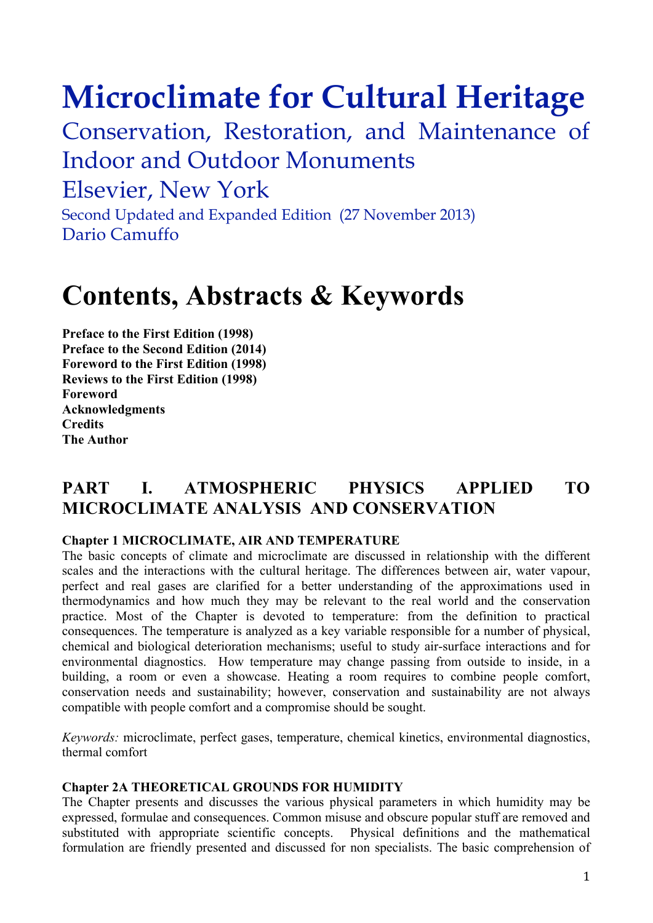# **Microclimate for Cultural Heritage**

Conservation, Restoration, and Maintenance of Indoor and Outdoor Monuments

## Elsevier, New York

Second Updated and Expanded Edition (27 November 2013) Dario Camuffo

## **Contents, Abstracts & Keywords**

**Preface to the First Edition (1998) Preface to the Second Edition (2014) Foreword to the First Edition (1998) Reviews to the First Edition (1998) Foreword Acknowledgments Credits The Author**

## **PART I. ATMOSPHERIC PHYSICS APPLIED TO MICROCLIMATE ANALYSIS AND CONSERVATION**

#### **Chapter 1 MICROCLIMATE, AIR AND TEMPERATURE**

The basic concepts of climate and microclimate are discussed in relationship with the different scales and the interactions with the cultural heritage. The differences between air, water vapour, perfect and real gases are clarified for a better understanding of the approximations used in thermodynamics and how much they may be relevant to the real world and the conservation practice. Most of the Chapter is devoted to temperature: from the definition to practical consequences. The temperature is analyzed as a key variable responsible for a number of physical, chemical and biological deterioration mechanisms; useful to study air-surface interactions and for environmental diagnostics. How temperature may change passing from outside to inside, in a building, a room or even a showcase. Heating a room requires to combine people comfort, conservation needs and sustainability; however, conservation and sustainability are not always compatible with people comfort and a compromise should be sought.

*Keywords:* microclimate, perfect gases, temperature, chemical kinetics, environmental diagnostics, thermal comfort

#### **Chapter 2A THEORETICAL GROUNDS FOR HUMIDITY**

The Chapter presents and discusses the various physical parameters in which humidity may be expressed, formulae and consequences. Common misuse and obscure popular stuff are removed and substituted with appropriate scientific concepts. Physical definitions and the mathematical formulation are friendly presented and discussed for non specialists. The basic comprehension of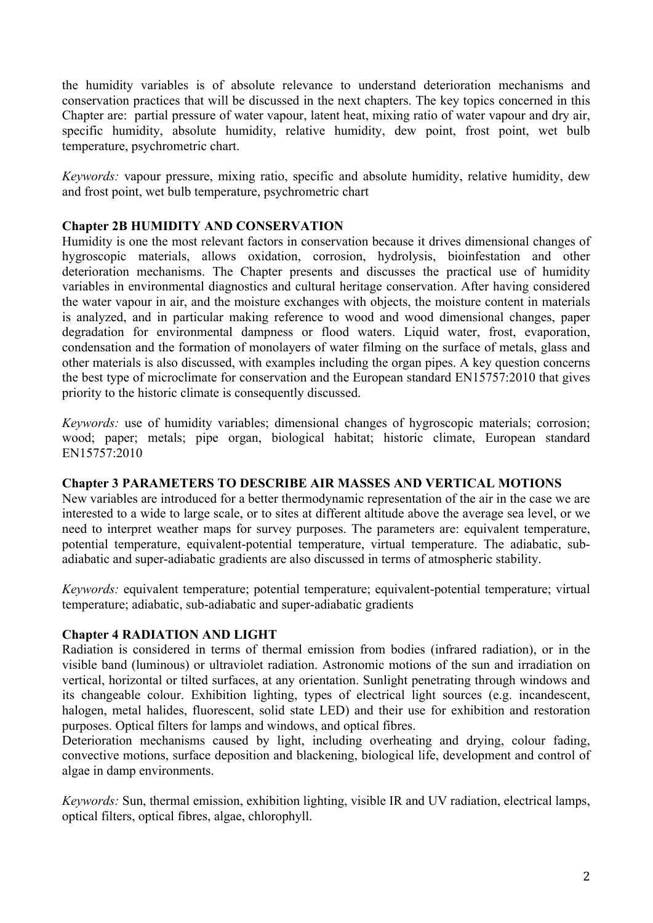the humidity variables is of absolute relevance to understand deterioration mechanisms and conservation practices that will be discussed in the next chapters. The key topics concerned in this Chapter are: partial pressure of water vapour, latent heat, mixing ratio of water vapour and dry air, specific humidity, absolute humidity, relative humidity, dew point, frost point, wet bulb temperature, psychrometric chart.

*Keywords:* vapour pressure, mixing ratio, specific and absolute humidity, relative humidity, dew and frost point, wet bulb temperature, psychrometric chart

#### **Chapter 2B HUMIDITY AND CONSERVATION**

Humidity is one the most relevant factors in conservation because it drives dimensional changes of hygroscopic materials, allows oxidation, corrosion, hydrolysis, bioinfestation and other deterioration mechanisms. The Chapter presents and discusses the practical use of humidity variables in environmental diagnostics and cultural heritage conservation. After having considered the water vapour in air, and the moisture exchanges with objects, the moisture content in materials is analyzed, and in particular making reference to wood and wood dimensional changes, paper degradation for environmental dampness or flood waters. Liquid water, frost, evaporation, condensation and the formation of monolayers of water filming on the surface of metals, glass and other materials is also discussed, with examples including the organ pipes. A key question concerns the best type of microclimate for conservation and the European standard EN15757:2010 that gives priority to the historic climate is consequently discussed.

*Keywords:* use of humidity variables; dimensional changes of hygroscopic materials; corrosion; wood; paper; metals; pipe organ, biological habitat; historic climate, European standard EN15757:2010

#### **Chapter 3 PARAMETERS TO DESCRIBE AIR MASSES AND VERTICAL MOTIONS**

New variables are introduced for a better thermodynamic representation of the air in the case we are interested to a wide to large scale, or to sites at different altitude above the average sea level, or we need to interpret weather maps for survey purposes. The parameters are: equivalent temperature, potential temperature, equivalent-potential temperature, virtual temperature. The adiabatic, subadiabatic and super-adiabatic gradients are also discussed in terms of atmospheric stability.

*Keywords:* equivalent temperature; potential temperature; equivalent-potential temperature; virtual temperature; adiabatic, sub-adiabatic and super-adiabatic gradients

#### **Chapter 4 RADIATION AND LIGHT**

Radiation is considered in terms of thermal emission from bodies (infrared radiation), or in the visible band (luminous) or ultraviolet radiation. Astronomic motions of the sun and irradiation on vertical, horizontal or tilted surfaces, at any orientation. Sunlight penetrating through windows and its changeable colour. Exhibition lighting, types of electrical light sources (e.g. incandescent, halogen, metal halides, fluorescent, solid state LED) and their use for exhibition and restoration purposes. Optical filters for lamps and windows, and optical fibres.

Deterioration mechanisms caused by light, including overheating and drying, colour fading, convective motions, surface deposition and blackening, biological life, development and control of algae in damp environments.

*Keywords:* Sun, thermal emission, exhibition lighting, visible IR and UV radiation, electrical lamps, optical filters, optical fibres, algae, chlorophyll.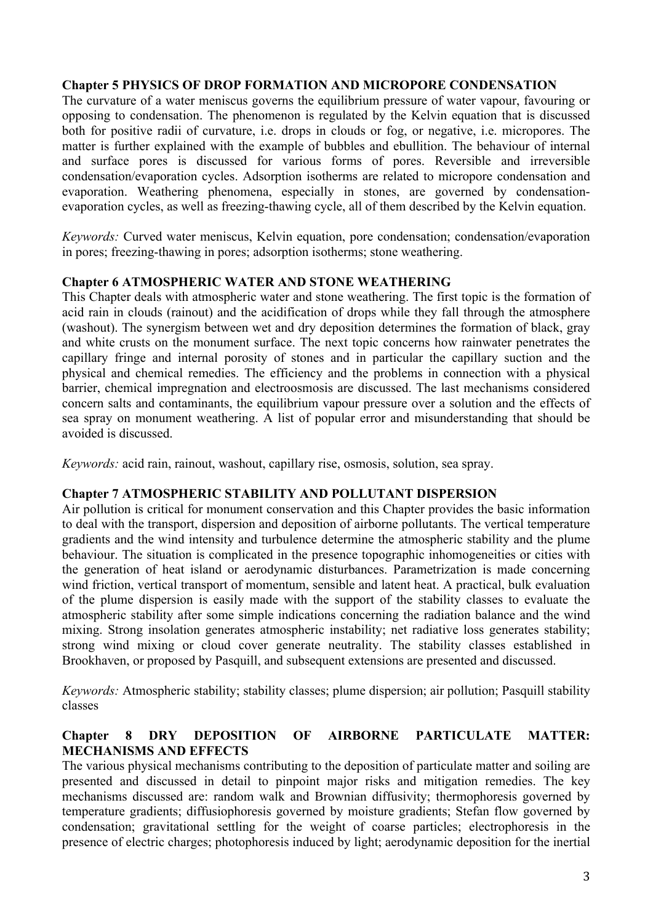#### **Chapter 5 PHYSICS OF DROP FORMATION AND MICROPORE CONDENSATION**

The curvature of a water meniscus governs the equilibrium pressure of water vapour, favouring or opposing to condensation. The phenomenon is regulated by the Kelvin equation that is discussed both for positive radii of curvature, i.e. drops in clouds or fog, or negative, i.e. micropores. The matter is further explained with the example of bubbles and ebullition. The behaviour of internal and surface pores is discussed for various forms of pores. Reversible and irreversible condensation/evaporation cycles. Adsorption isotherms are related to micropore condensation and evaporation. Weathering phenomena, especially in stones, are governed by condensationevaporation cycles, as well as freezing-thawing cycle, all of them described by the Kelvin equation.

*Keywords:* Curved water meniscus, Kelvin equation, pore condensation; condensation/evaporation in pores; freezing-thawing in pores; adsorption isotherms; stone weathering.

#### **Chapter 6 ATMOSPHERIC WATER AND STONE WEATHERING**

This Chapter deals with atmospheric water and stone weathering. The first topic is the formation of acid rain in clouds (rainout) and the acidification of drops while they fall through the atmosphere (washout). The synergism between wet and dry deposition determines the formation of black, gray and white crusts on the monument surface. The next topic concerns how rainwater penetrates the capillary fringe and internal porosity of stones and in particular the capillary suction and the physical and chemical remedies. The efficiency and the problems in connection with a physical barrier, chemical impregnation and electroosmosis are discussed. The last mechanisms considered concern salts and contaminants, the equilibrium vapour pressure over a solution and the effects of sea spray on monument weathering. A list of popular error and misunderstanding that should be avoided is discussed.

*Keywords:* acid rain, rainout, washout, capillary rise, osmosis, solution, sea spray.

#### **Chapter 7 ATMOSPHERIC STABILITY AND POLLUTANT DISPERSION**

Air pollution is critical for monument conservation and this Chapter provides the basic information to deal with the transport, dispersion and deposition of airborne pollutants. The vertical temperature gradients and the wind intensity and turbulence determine the atmospheric stability and the plume behaviour. The situation is complicated in the presence topographic inhomogeneities or cities with the generation of heat island or aerodynamic disturbances. Parametrization is made concerning wind friction, vertical transport of momentum, sensible and latent heat. A practical, bulk evaluation of the plume dispersion is easily made with the support of the stability classes to evaluate the atmospheric stability after some simple indications concerning the radiation balance and the wind mixing. Strong insolation generates atmospheric instability; net radiative loss generates stability; strong wind mixing or cloud cover generate neutrality. The stability classes established in Brookhaven, or proposed by Pasquill, and subsequent extensions are presented and discussed.

*Keywords:* Atmospheric stability; stability classes; plume dispersion; air pollution; Pasquill stability classes

#### **Chapter 8 DRY DEPOSITION OF AIRBORNE PARTICULATE MATTER: MECHANISMS AND EFFECTS**

The various physical mechanisms contributing to the deposition of particulate matter and soiling are presented and discussed in detail to pinpoint major risks and mitigation remedies. The key mechanisms discussed are: random walk and Brownian diffusivity; thermophoresis governed by temperature gradients; diffusiophoresis governed by moisture gradients; Stefan flow governed by condensation; gravitational settling for the weight of coarse particles; electrophoresis in the presence of electric charges; photophoresis induced by light; aerodynamic deposition for the inertial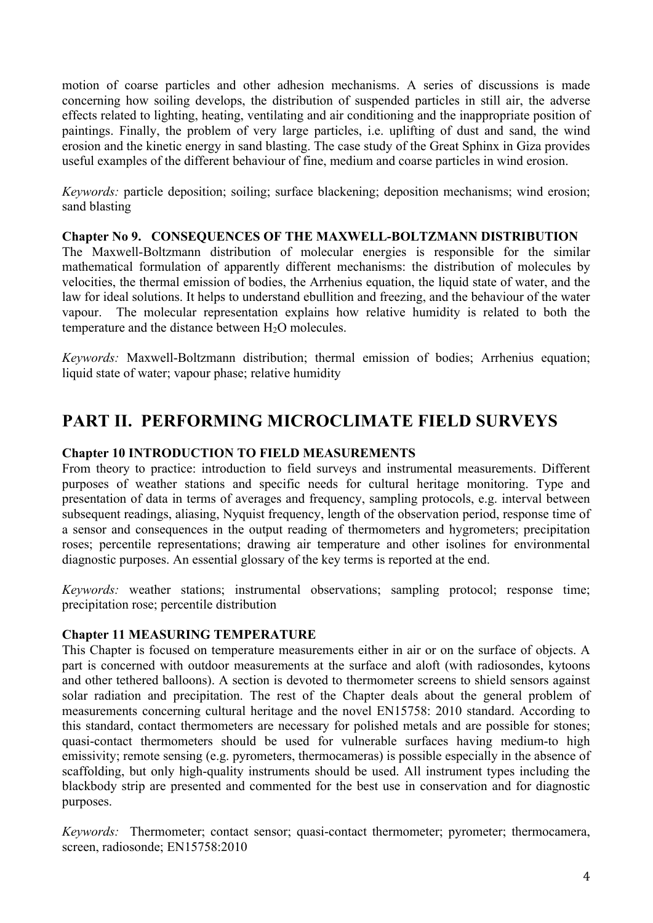motion of coarse particles and other adhesion mechanisms. A series of discussions is made concerning how soiling develops, the distribution of suspended particles in still air, the adverse effects related to lighting, heating, ventilating and air conditioning and the inappropriate position of paintings. Finally, the problem of very large particles, i.e. uplifting of dust and sand, the wind erosion and the kinetic energy in sand blasting. The case study of the Great Sphinx in Giza provides useful examples of the different behaviour of fine, medium and coarse particles in wind erosion.

*Keywords:* particle deposition; soiling; surface blackening; deposition mechanisms; wind erosion; sand blasting

#### **Chapter No 9. CONSEQUENCES OF THE MAXWELL-BOLTZMANN DISTRIBUTION**

The Maxwell-Boltzmann distribution of molecular energies is responsible for the similar mathematical formulation of apparently different mechanisms: the distribution of molecules by velocities, the thermal emission of bodies, the Arrhenius equation, the liquid state of water, and the law for ideal solutions. It helps to understand ebullition and freezing, and the behaviour of the water vapour. The molecular representation explains how relative humidity is related to both the temperature and the distance between  $H_2O$  molecules.

*Keywords:* Maxwell-Boltzmann distribution; thermal emission of bodies; Arrhenius equation; liquid state of water; vapour phase; relative humidity

## **PART II. PERFORMING MICROCLIMATE FIELD SURVEYS**

#### **Chapter 10 INTRODUCTION TO FIELD MEASUREMENTS**

From theory to practice: introduction to field surveys and instrumental measurements. Different purposes of weather stations and specific needs for cultural heritage monitoring. Type and presentation of data in terms of averages and frequency, sampling protocols, e.g. interval between subsequent readings, aliasing, Nyquist frequency, length of the observation period, response time of a sensor and consequences in the output reading of thermometers and hygrometers; precipitation roses; percentile representations; drawing air temperature and other isolines for environmental diagnostic purposes. An essential glossary of the key terms is reported at the end.

*Keywords:* weather stations; instrumental observations; sampling protocol; response time; precipitation rose; percentile distribution

#### **Chapter 11 MEASURING TEMPERATURE**

This Chapter is focused on temperature measurements either in air or on the surface of objects. A part is concerned with outdoor measurements at the surface and aloft (with radiosondes, kytoons and other tethered balloons). A section is devoted to thermometer screens to shield sensors against solar radiation and precipitation. The rest of the Chapter deals about the general problem of measurements concerning cultural heritage and the novel EN15758: 2010 standard. According to this standard, contact thermometers are necessary for polished metals and are possible for stones; quasi-contact thermometers should be used for vulnerable surfaces having medium-to high emissivity; remote sensing (e.g. pyrometers, thermocameras) is possible especially in the absence of scaffolding, but only high-quality instruments should be used. All instrument types including the blackbody strip are presented and commented for the best use in conservation and for diagnostic purposes.

*Keywords:* Thermometer; contact sensor; quasi-contact thermometer; pyrometer; thermocamera, screen, radiosonde; EN15758:2010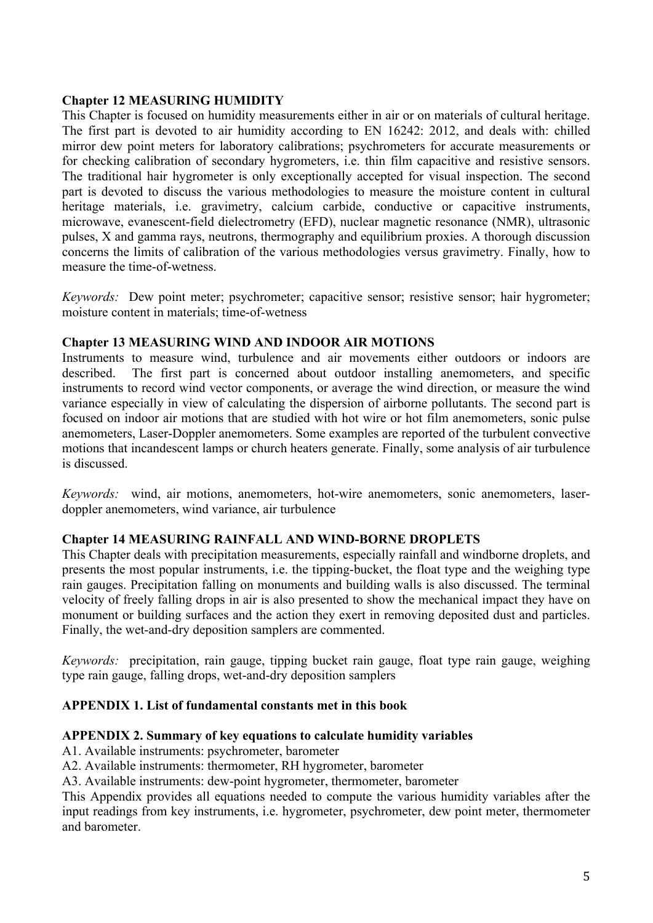#### **Chapter 12 MEASURING HUMIDITY**

This Chapter is focused on humidity measurements either in air or on materials of cultural heritage. The first part is devoted to air humidity according to EN 16242: 2012, and deals with: chilled mirror dew point meters for laboratory calibrations; psychrometers for accurate measurements or for checking calibration of secondary hygrometers, i.e. thin film capacitive and resistive sensors. The traditional hair hygrometer is only exceptionally accepted for visual inspection. The second part is devoted to discuss the various methodologies to measure the moisture content in cultural heritage materials, i.e. gravimetry, calcium carbide, conductive or capacitive instruments, microwave, evanescent-field dielectrometry (EFD), nuclear magnetic resonance (NMR), ultrasonic pulses, X and gamma rays, neutrons, thermography and equilibrium proxies. A thorough discussion concerns the limits of calibration of the various methodologies versus gravimetry. Finally, how to measure the time-of-wetness.

*Keywords:* Dew point meter; psychrometer; capacitive sensor; resistive sensor; hair hygrometer; moisture content in materials; time-of-wetness

#### **Chapter 13 MEASURING WIND AND INDOOR AIR MOTIONS**

Instruments to measure wind, turbulence and air movements either outdoors or indoors are described. The first part is concerned about outdoor installing anemometers, and specific instruments to record wind vector components, or average the wind direction, or measure the wind variance especially in view of calculating the dispersion of airborne pollutants. The second part is focused on indoor air motions that are studied with hot wire or hot film anemometers, sonic pulse anemometers, Laser-Doppler anemometers. Some examples are reported of the turbulent convective motions that incandescent lamps or church heaters generate. Finally, some analysis of air turbulence is discussed.

*Keywords:* wind, air motions, anemometers, hot-wire anemometers, sonic anemometers, laserdoppler anemometers, wind variance, air turbulence

#### **Chapter 14 MEASURING RAINFALL AND WIND-BORNE DROPLETS**

This Chapter deals with precipitation measurements, especially rainfall and windborne droplets, and presents the most popular instruments, i.e. the tipping-bucket, the float type and the weighing type rain gauges. Precipitation falling on monuments and building walls is also discussed. The terminal velocity of freely falling drops in air is also presented to show the mechanical impact they have on monument or building surfaces and the action they exert in removing deposited dust and particles. Finally, the wet-and-dry deposition samplers are commented.

*Keywords:* precipitation, rain gauge, tipping bucket rain gauge, float type rain gauge, weighing type rain gauge, falling drops, wet-and-dry deposition samplers

#### **APPENDIX 1. List of fundamental constants met in this book**

#### **APPENDIX 2. Summary of key equations to calculate humidity variables**

- A1. Available instruments: psychrometer, barometer
- A2. Available instruments: thermometer, RH hygrometer, barometer
- A3. Available instruments: dew-point hygrometer, thermometer, barometer

This Appendix provides all equations needed to compute the various humidity variables after the input readings from key instruments, i.e. hygrometer, psychrometer, dew point meter, thermometer and barometer.